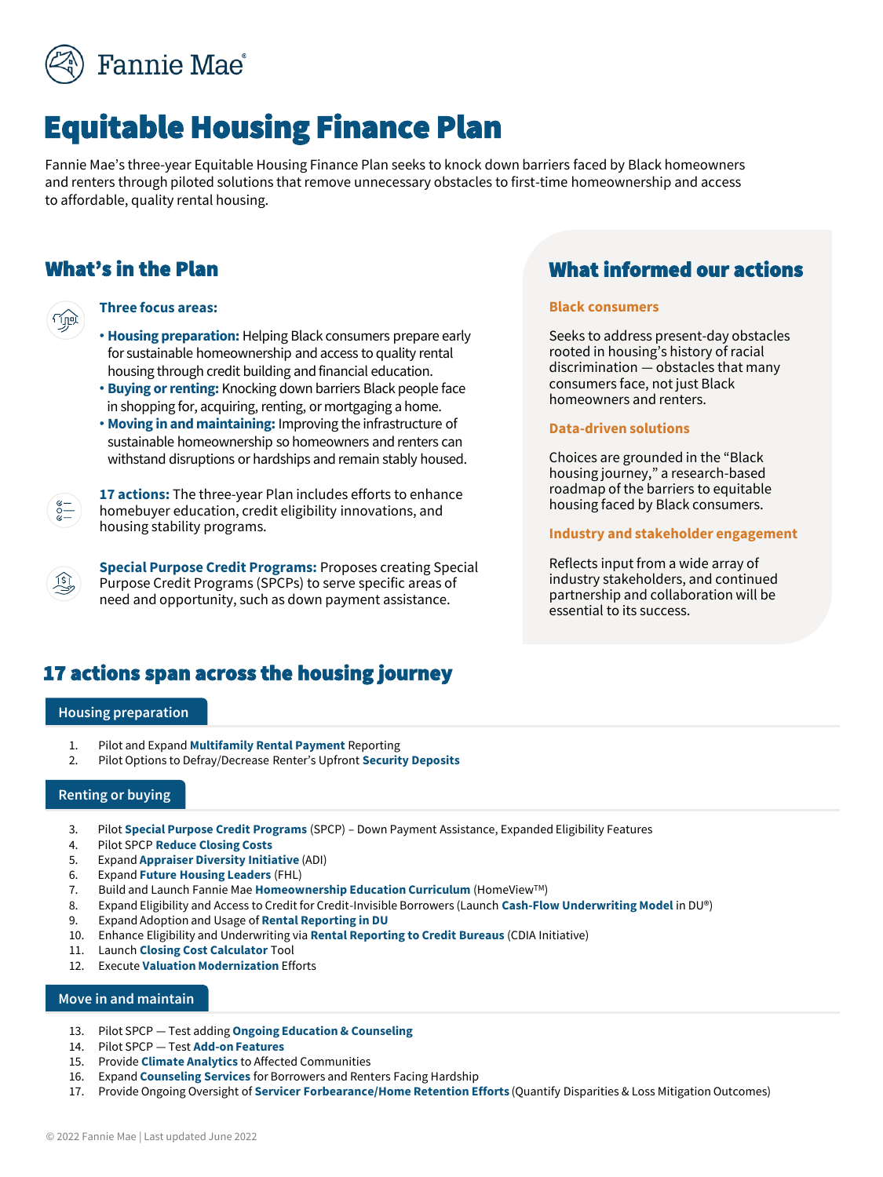

# Equitable Housing Finance Plan

Fannie Mae's three-year Equitable Housing Finance Plan seeks to knock down barriers faced by Black homeowners and renters through piloted solutions that remove unnecessary obstacles to first-time homeownership and access to affordable, quality rental housing.

## What's in the Plan

### **Three focus areas:**

- **Housing preparation:** Helping Black consumers prepare early for sustainable homeownership and access to quality rental housing through credit building and financial education.
- **Buying or renting:** Knocking down barriers Black people face in shopping for, acquiring, renting, or mortgaging a home.
- **Moving in and maintaining:** Improving the infrastructure of sustainable homeownership so homeowners and renters can withstand disruptions or hardships and remain stably housed.

**17 actions:** The three-year Plan includes efforts to enhance homebuyer education, credit eligibility innovations, and housing stability programs.

**Special Purpose Credit Programs:** Proposes creating Special Purpose Credit Programs (SPCPs) to serve specific areas of need and opportunity, such as down payment assistance.

## What informed our actions

### **Black consumers**

Seeks to address present-day obstacles rooted in housing's history of racial discrimination — obstacles that many consumers face, not just Black homeowners and renters.

#### **Data-driven solutions**

Choices are grounded in the "Black housing journey," a research-based roadmap of the barriers to equitable housing faced by Black consumers.

## **Industry and stakeholder engagement**

Reflects input from a wide array of industry stakeholders, and continued partnership and collaboration will be essential to its success.

## 17 actions span across the housing journey

#### **Housing preparation**

 $\sum_{\alpha=0}^{\infty}$ 

- 1. Pilot and Expand **Multifamily Rental Payment** Reporting
- 2. Pilot Options to Defray/Decrease Renter's Upfront **Security Deposits**

#### **Renting or buying**

- 3. Pilot **Special Purpose Credit Programs** (SPCP) Down Payment Assistance, Expanded Eligibility Features
- 4. Pilot SPCP **Reduce Closing Costs**
- 5. Expand **Appraiser Diversity Initiative** (ADI)
- 6. Expand **Future Housing Leaders** (FHL)
- 7. Build and Launch Fannie Mae **Homeownership Education Curriculum** (HomeViewTM)
- 8. Expand Eligibility and Access to Credit for Credit-Invisible Borrowers (Launch **Cash-Flow Underwriting Model** in DU®)
- 9. Expand Adoption and Usage of **Rental Reporting in DU**
- 10. Enhance Eligibility and Underwriting via **Rental Reporting to Credit Bureaus** (CDIA Initiative)
- 11. Launch **Closing Cost Calculator** Tool
- 12. Execute **Valuation Modernization** Efforts

#### **Move in and maintain**

- 13. Pilot SPCP Test adding **Ongoing Education & Counseling**
- 14. Pilot SPCP Test **Add-on Features**
- 15. Provide **Climate Analytics** to Affected Communities
- 16. Expand **Counseling Services** for Borrowers and Renters Facing Hardship
- 17. Provide Ongoing Oversight of **Servicer Forbearance/Home Retention Efforts** (Quantify Disparities & Loss Mitigation Outcomes)